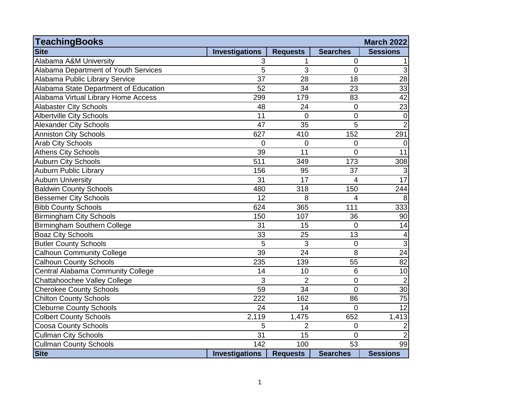| <b>TeachingBooks</b>                  |                       |                 |                 | <b>March 2022</b>   |
|---------------------------------------|-----------------------|-----------------|-----------------|---------------------|
| <b>Site</b>                           | <b>Investigations</b> | <b>Requests</b> | <b>Searches</b> | <b>Sessions</b>     |
| Alabama A&M University                | 3                     | 1               | $\overline{0}$  | $\mathbf{1}$        |
| Alabama Department of Youth Services  | 5                     | 3               | 0               | $\overline{3}$      |
| Alabama Public Library Service        | $\overline{37}$       | 28              | 18              | $\overline{28}$     |
| Alabama State Department of Education | 52                    | 34              | 23              | 33                  |
| Alabama Virtual Library Home Access   | 299                   | 179             | 83              | 42                  |
| <b>Alabaster City Schools</b>         | 48                    | 24              | 0               | 23                  |
| <b>Albertville City Schools</b>       | 11                    | $\overline{0}$  | 0               | $\overline{0}$      |
| <b>Alexander City Schools</b>         | 47                    | 35              | 5               | $\overline{2}$      |
| <b>Anniston City Schools</b>          | 627                   | 410             | 152             | 291                 |
| <b>Arab City Schools</b>              | $\overline{0}$        | $\overline{0}$  | $\overline{0}$  | $\overline{0}$      |
| <b>Athens City Schools</b>            | 39                    | $\overline{11}$ | $\overline{0}$  | $\overline{11}$     |
| <b>Auburn City Schools</b>            | 511                   | 349             | 173             | 308                 |
| <b>Auburn Public Library</b>          | 156                   | 95              | 37              | $\mathbf{3}$        |
| <b>Auburn University</b>              | 31                    | 17              | $\overline{4}$  | $\overline{17}$     |
| <b>Baldwin County Schools</b>         | 480                   | 318             | 150             | 244                 |
| <b>Bessemer City Schools</b>          | 12                    | 8               | 4               | 8 <sup>°</sup>      |
| <b>Bibb County Schools</b>            | 624                   | 365             | 111             | 333                 |
| <b>Birmingham City Schools</b>        | 150                   | 107             | 36              | 90                  |
| Birmingham Southern College           | 31                    | 15              | $\overline{0}$  | 14                  |
| <b>Boaz City Schools</b>              | 33                    | 25              | 13              | $\vert 4 \vert$     |
| <b>Butler County Schools</b>          | 5                     | 3               | $\mathbf 0$     | $\overline{\omega}$ |
| <b>Calhoun Community College</b>      | 39                    | 24              | 8               | $\overline{24}$     |
| <b>Calhoun County Schools</b>         | 235                   | 139             | 55              | 82                  |
| Central Alabama Community College     | 14                    | 10              | 6               | 10                  |
| Chattahoochee Valley College          | 3                     | $\overline{2}$  | $\mathbf 0$     | $\overline{2}$      |
| <b>Cherokee County Schools</b>        | 59                    | 34              | $\overline{0}$  | 30 <sup>°</sup>     |
| <b>Chilton County Schools</b>         | 222                   | 162             | 86              | 75                  |
| <b>Cleburne County Schools</b>        | 24                    | 14              | $\overline{0}$  | 12                  |
| <b>Colbert County Schools</b>         | 2,119                 | 1,475           | 652             | 1,413               |
| <b>Coosa County Schools</b>           | 5                     | $\overline{2}$  | 0               | $\boldsymbol{2}$    |
| <b>Cullman City Schools</b>           | 31                    | 15              | $\overline{0}$  | $\overline{2}$      |
| <b>Cullman County Schools</b>         | 142                   | 100             | 53              | 99                  |
| <b>Site</b>                           | <b>Investigations</b> | <b>Requests</b> | <b>Searches</b> | <b>Sessions</b>     |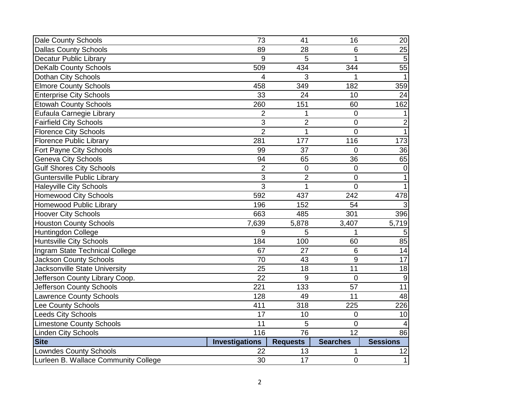| Dale County Schools                  | 73                    | 41               | 16              | 20              |
|--------------------------------------|-----------------------|------------------|-----------------|-----------------|
| <b>Dallas County Schools</b>         | 89                    | 28               | 6               | 25              |
| <b>Decatur Public Library</b>        | 9                     | 5                | 1               | $\overline{5}$  |
| <b>DeKalb County Schools</b>         | 509                   | 434              | 344             | 55              |
| Dothan City Schools                  | 4                     | 3                | 1               |                 |
| <b>Elmore County Schools</b>         | 458                   | 349              | 182             | 359             |
| <b>Enterprise City Schools</b>       | 33                    | 24               | 10              | 24              |
| <b>Etowah County Schools</b>         | 260                   | 151              | 60              | 162             |
| Eufaula Carnegie Library             | $\overline{2}$        | 1                | 0               |                 |
| <b>Fairfield City Schools</b>        | 3                     | $\overline{2}$   | $\mathbf 0$     | $\mathbf 2$     |
| <b>Florence City Schools</b>         | $\overline{2}$        | 1                | 0               | $\mathbf{1}$    |
| <b>Florence Public Library</b>       | 281                   | 177              | 116             | 173             |
| Fort Payne City Schools              | 99                    | 37               | 0               | 36              |
| <b>Geneva City Schools</b>           | 94                    | 65               | 36              | 65              |
| <b>Gulf Shores City Schools</b>      | $\overline{2}$        | $\boldsymbol{0}$ | $\mathbf 0$     | $\overline{0}$  |
| <b>Guntersville Public Library</b>   | $\mathbf{3}$          | $\overline{2}$   | 0               | 1               |
| <b>Haleyville City Schools</b>       | 3                     | 1                | $\overline{0}$  | $\mathbf{1}$    |
| <b>Homewood City Schools</b>         | 592                   | 437              | 242             | 478             |
| Homewood Public Library              | 196                   | 152              | 54              | 3               |
| <b>Hoover City Schools</b>           | 663                   | 485              | 301             | 396             |
| <b>Houston County Schools</b>        | 7,639                 | 5,878            | 3,407           | 5,719           |
| Huntingdon College                   | 9                     | 5                | 1               | 5               |
| <b>Huntsville City Schools</b>       | 184                   | 100              | 60              | 85              |
| Ingram State Technical College       | 67                    | 27               | 6               | 14              |
| <b>Jackson County Schools</b>        | 70                    | 43               | $\overline{9}$  | 17              |
| Jacksonville State University        | $\overline{25}$       | 18               | $\overline{11}$ | $\overline{18}$ |
| Jefferson County Library Coop.       | $\overline{22}$       | 9                | $\mathbf 0$     | 9               |
| Jefferson County Schools             | 221                   | 133              | 57              | $\overline{11}$ |
| <b>Lawrence County Schools</b>       | 128                   | 49               | 11              | 48              |
| Lee County Schools                   | 411                   | 318              | 225             | 226             |
| <b>Leeds City Schools</b>            | 17                    | 10               | 0               | 10              |
| <b>Limestone County Schools</b>      | 11                    | 5                | 0               | $\overline{4}$  |
| <b>Linden City Schools</b>           | 116                   | 76               | $\overline{12}$ | $\overline{86}$ |
| <b>Site</b>                          | <b>Investigations</b> | <b>Requests</b>  | <b>Searches</b> | <b>Sessions</b> |
| <b>Lowndes County Schools</b>        | 22                    | 13               | 1               | 12              |
| Lurleen B. Wallace Community College | 30                    | 17               | $\mathbf 0$     | 1               |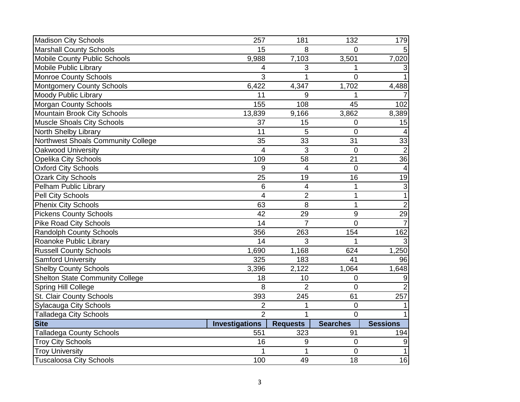| <b>Madison City Schools</b>            | 257                   | 181             | 132              | 179             |
|----------------------------------------|-----------------------|-----------------|------------------|-----------------|
| <b>Marshall County Schools</b>         | 15                    | 8               | $\Omega$         | 5 <sup>1</sup>  |
| Mobile County Public Schools           | 9,988                 | 7,103           | 3,501            | 7,020           |
| <b>Mobile Public Library</b>           | $\overline{4}$        | 3               | 1                | $\mathbf{3}$    |
| Monroe County Schools                  | 3                     | 1               | $\overline{0}$   | $\vert$         |
| Montgomery County Schools              | 6,422                 | 4,347           | 1,702            | 4,488           |
| <b>Moody Public Library</b>            | 11                    | 9               | 1                | 7               |
| Morgan County Schools                  | 155                   | 108             | 45               | 102             |
| Mountain Brook City Schools            | 13,839                | 9,166           | 3,862            | 8,389           |
| Muscle Shoals City Schools             | 37                    | 15              | 0                | 15              |
| North Shelby Library                   | 11                    | 5               | 0                | $\vert$         |
| Northwest Shoals Community College     | 35                    | 33              | 31               | 33              |
| Oakwood University                     | 4                     | 3               | $\overline{0}$   | $\overline{2}$  |
| <b>Opelika City Schools</b>            | 109                   | 58              | 21               | $\overline{36}$ |
| <b>Oxford City Schools</b>             | 9                     | $\overline{4}$  | $\overline{0}$   | $\vert$         |
| <b>Ozark City Schools</b>              | 25                    | 19              | 16               | 19              |
| Pelham Public Library                  | $6\phantom{1}$        | $\overline{4}$  | 1                | $\frac{3}{1}$   |
| Pell City Schools                      | $\overline{4}$        | $\overline{2}$  | $\mathbf{1}$     |                 |
| <b>Phenix City Schools</b>             | 63                    | 8               | $\mathbf{1}$     | $\overline{2}$  |
| <b>Pickens County Schools</b>          | 42                    | 29              | $\boldsymbol{9}$ | 29              |
| <b>Pike Road City Schools</b>          | 14                    | $\overline{7}$  | $\overline{0}$   | $\overline{7}$  |
| <b>Randolph County Schools</b>         | 356                   | 263             | 154              | 162             |
| Roanoke Public Library                 | 14                    | 3               | 1                | 3               |
| <b>Russell County Schools</b>          | 1,690                 | 1,168           | 624              | 1,250           |
| <b>Samford University</b>              | 325                   | 183             | 41               | 96              |
| <b>Shelby County Schools</b>           | 3,396                 | 2,122           | 1,064            | 1,648           |
| <b>Shelton State Community College</b> | 18                    | 10              | $\mathbf 0$      | 9               |
| Spring Hill College                    | 8                     | $\overline{2}$  | $\overline{0}$   | $\overline{2}$  |
| St. Clair County Schools               | 393                   | 245             | 61               | 257             |
| <b>Sylacauga City Schools</b>          | $\overline{2}$        | 1               | 0                | $\mathbf{1}$    |
| <b>Talladega City Schools</b>          | $\mathcal{P}$         | 1               | $\Omega$         | $\vert$         |
| <b>Site</b>                            | <b>Investigations</b> | <b>Requests</b> | <b>Searches</b>  | <b>Sessions</b> |
| <b>Talladega County Schools</b>        | 551                   | 323             | 91               | 194             |
| <b>Troy City Schools</b>               | 16                    | 9               | $\mathbf 0$      | $\overline{9}$  |
| <b>Troy University</b>                 |                       | 1               | 0                | $\vert$         |
| <b>Tuscaloosa City Schools</b>         | 100                   | 49              | 18               | 16              |